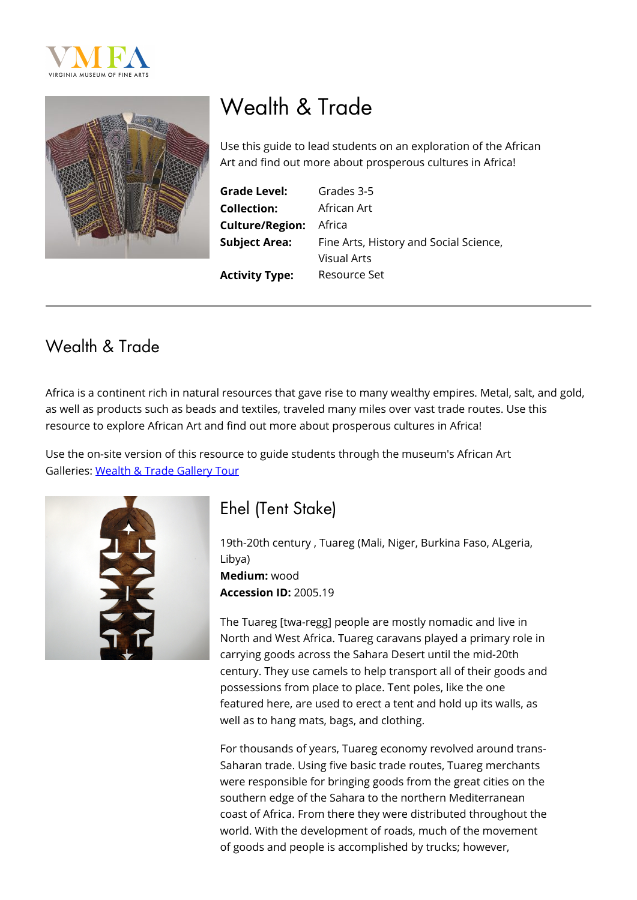



# Wealth & Trade

Use this guide to lead students on an exploration of the African Art and find out more about prosperous cultures in Africa!

| <b>Grade Level:</b>    | C |
|------------------------|---|
| <b>Collection:</b>     | I |
| <b>Culture/Region:</b> | I |
| <b>Subject Area:</b>   | F |
|                        |   |

Grades 3-5 **Collection:** African Art **\frica** Fine Arts, History and Social Science, Visual Arts **Activity Type:** Resource Set

### Wealth & Trade

Africa is a continent rich in natural resources that gave rise to many wealthy empires. Metal, salt, and gold, as well as products such as beads and textiles, traveled many miles over vast trade routes. Use this resource to explore African Art and find out more about prosperous cultures in Africa!

Use the on-site version of this resource to guide students through the museum's African Art Galleries: [Wealth & Trade Gallery Tour](https://www.vmfa.museum/learn/resources/teacher-directed-gallery-tours-wealth-and-trade/)



# Ehel (Tent Stake)

19th-20th century , Tuareg (Mali, Niger, Burkina Faso, ALgeria, Libya) **Medium:** wood **Accession ID:** 2005.19

The Tuareg [twa-regg] people are mostly nomadic and live in North and West Africa. Tuareg caravans played a primary role in carrying goods across the Sahara Desert until the mid-20th century. They use camels to help transport all of their goods and possessions from place to place. Tent poles, like the one featured here, are used to erect a tent and hold up its walls, as well as to hang mats, bags, and clothing.

For thousands of years, Tuareg economy revolved around trans-Saharan trade. Using five basic trade routes, Tuareg merchants were responsible for bringing goods from the great cities on the southern edge of the Sahara to the northern Mediterranean coast of Africa. From there they were distributed throughout the world. With the development of roads, much of the movement of goods and people is accomplished by trucks; however,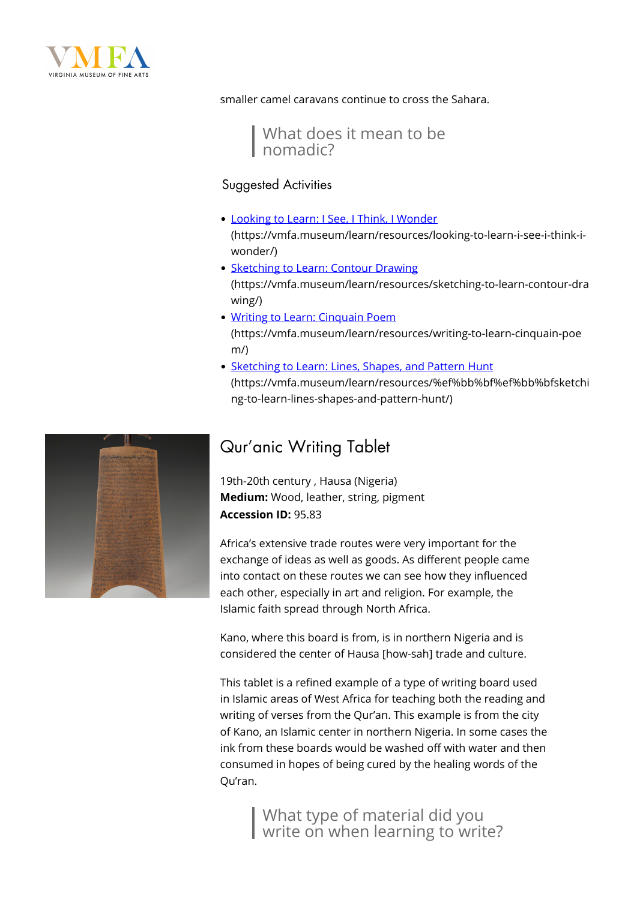

smaller camel caravans continue to cross the Sahara.

What does it mean to be nomadic?

#### Suggested Activities

- [Looking to Learn: I See, I Think, I Wonder](https://vmfa.museum/learn/resources/looking-to-learn-i-see-i-think-i-wonder/) (https://vmfa.museum/learn/resources/looking-to-learn-i-see-i-think-iwonder/)
- [Sketching to Learn: Contour Drawing](https://vmfa.museum/learn/resources/sketching-to-learn-contour-drawing/) (https://vmfa.museum/learn/resources/sketching-to-learn-contour-dra wing/)
- [Writing to Learn: Cinquain Poem](https://vmfa.museum/learn/resources/writing-to-learn-cinquain-poem/) (https://vmfa.museum/learn/resources/writing-to-learn-cinquain-poe m/)
- [Sketching to Learn: Lines, Shapes, and Pattern Hunt](https://vmfa.museum/learn/resources/%ef%bb%bf%ef%bb%bfsketching-to-learn-lines-shapes-and-pattern-hunt/) (https://vmfa.museum/learn/resources/%ef%bb%bf%ef%bb%bfsketchi ng-to-learn-lines-shapes-and-pattern-hunt/)

### Qur'anic Writing Tablet

19th-20th century , Hausa (Nigeria) **Medium:** Wood, leather, string, pigment **Accession ID:** 95.83

Africa's extensive trade routes were very important for the exchange of ideas as well as goods. As different people came into contact on these routes we can see how they influenced each other, especially in art and religion. For example, the Islamic faith spread through North Africa.

Kano, where this board is from, is in northern Nigeria and is considered the center of Hausa [how-sah] trade and culture.

This tablet is a refined example of a type of writing board used in Islamic areas of West Africa for teaching both the reading and writing of verses from the Qur'an. This example is from the city of Kano, an Islamic center in northern Nigeria. In some cases the ink from these boards would be washed off with water and then consumed in hopes of being cured by the healing words of the Qu'ran.

> What type of material did you write on when learning to write?

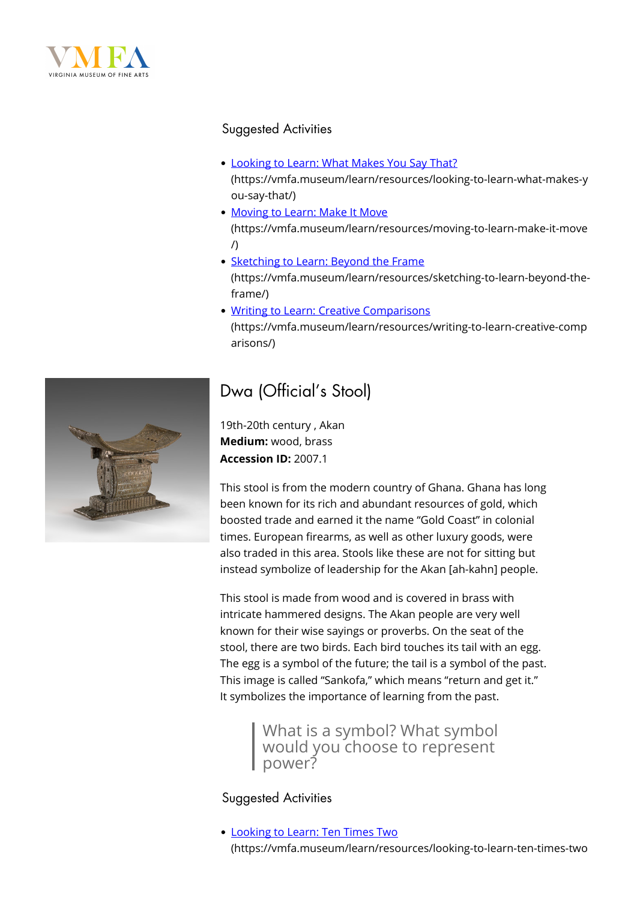

#### Suggested Activities

- [Looking to Learn: What Makes You Say That?](https://vmfa.museum/learn/resources/looking-to-learn-what-makes-you-say-that/) (https://vmfa.museum/learn/resources/looking-to-learn-what-makes-y
- ou-say-that/) • [Moving to Learn: Make It Move](https://vmfa.museum/learn/resources/moving-to-learn-make-it-move/) (https://vmfa.museum/learn/resources/moving-to-learn-make-it-move /)
- [Sketching to Learn: Beyond the Frame](https://vmfa.museum/learn/resources/sketching-to-learn-beyond-the-frame/) (https://vmfa.museum/learn/resources/sketching-to-learn-beyond-theframe/)
- [Writing to Learn: Creative Comparisons](https://vmfa.museum/learn/resources/writing-to-learn-creative-comparisons/)

(https://vmfa.museum/learn/resources/writing-to-learn-creative-comp arisons/)



## Dwa (Official's Stool)

19th-20th century , Akan **Medium:** wood, brass **Accession ID:** 2007.1

This stool is from the modern country of Ghana. Ghana has long been known for its rich and abundant resources of gold, which boosted trade and earned it the name "Gold Coast" in colonial times. European firearms, as well as other luxury goods, were also traded in this area. Stools like these are not for sitting but instead symbolize of leadership for the Akan [ah-kahn] people.

This stool is made from wood and is covered in brass with intricate hammered designs. The Akan people are very well known for their wise sayings or proverbs. On the seat of the stool, there are two birds. Each bird touches its tail with an egg. The egg is a symbol of the future; the tail is a symbol of the past. This image is called "Sankofa," which means "return and get it." It symbolizes the importance of learning from the past.

> What is a symbol? What symbol would you choose to represent power?

#### Suggested Activities

[Looking to Learn: Ten Times Two](https://vmfa.museum/learn/resources/looking-to-learn-ten-times-two/) (https://vmfa.museum/learn/resources/looking-to-learn-ten-times-two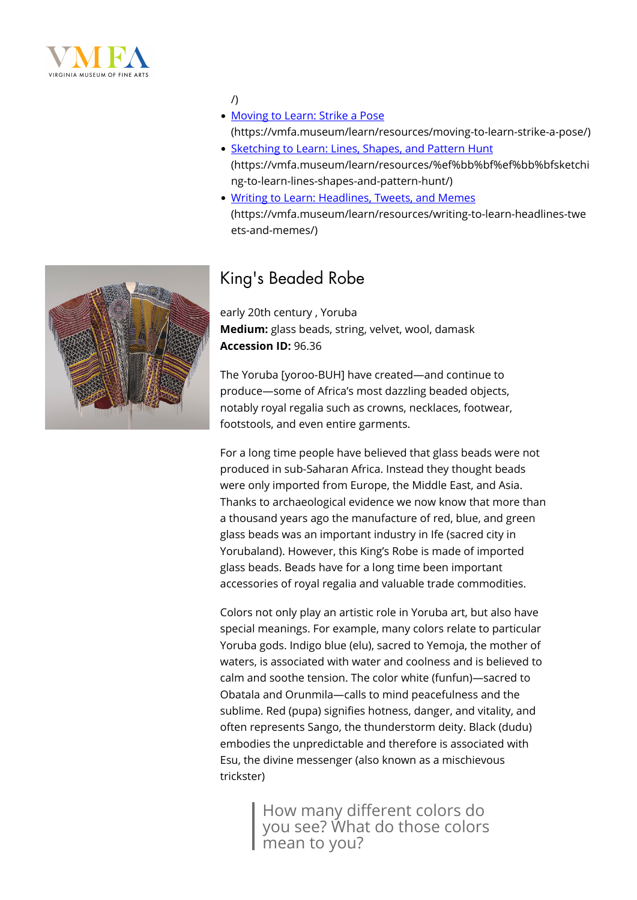



/)

- [Moving to Learn: Strike a Pose](https://vmfa.museum/learn/resources/moving-to-learn-strike-a-pose/) (https://vmfa.museum/learn/resources/moving-to-learn-strike-a-pose/)
- [Sketching to Learn: Lines, Shapes, and Pattern Hunt](https://vmfa.museum/learn/resources/%ef%bb%bf%ef%bb%bfsketching-to-learn-lines-shapes-and-pattern-hunt/) (https://vmfa.museum/learn/resources/%ef%bb%bf%ef%bb%bfsketchi ng-to-learn-lines-shapes-and-pattern-hunt/)
- [Writing to Learn: Headlines, Tweets, and Memes](https://vmfa.museum/learn/resources/writing-to-learn-headlines-tweets-and-memes/) (https://vmfa.museum/learn/resources/writing-to-learn-headlines-twe ets-and-memes/)

### King's Beaded Robe

early 20th century , Yoruba **Medium:** glass beads, string, velvet, wool, damask **Accession ID:** 96.36

The Yoruba [yoroo-BUH] have created—and continue to produce—some of Africa's most dazzling beaded objects, notably royal regalia such as crowns, necklaces, footwear, footstools, and even entire garments.

For a long time people have believed that glass beads were not produced in sub-Saharan Africa. Instead they thought beads were only imported from Europe, the Middle East, and Asia. Thanks to archaeological evidence we now know that more than a thousand years ago the manufacture of red, blue, and green glass beads was an important industry in Ife (sacred city in Yorubaland). However, this King's Robe is made of imported glass beads. Beads have for a long time been important accessories of royal regalia and valuable trade commodities.

Colors not only play an artistic role in Yoruba art, but also have special meanings. For example, many colors relate to particular Yoruba gods. Indigo blue (elu), sacred to Yemoja, the mother of waters, is associated with water and coolness and is believed to calm and soothe tension. The color white (funfun)—sacred to Obatala and Orunmila—calls to mind peacefulness and the sublime. Red (pupa) signifies hotness, danger, and vitality, and often represents Sango, the thunderstorm deity. Black (dudu) embodies the unpredictable and therefore is associated with Esu, the divine messenger (also known as a mischievous trickster)

> How many different colors do you see? What do those colors mean to you?